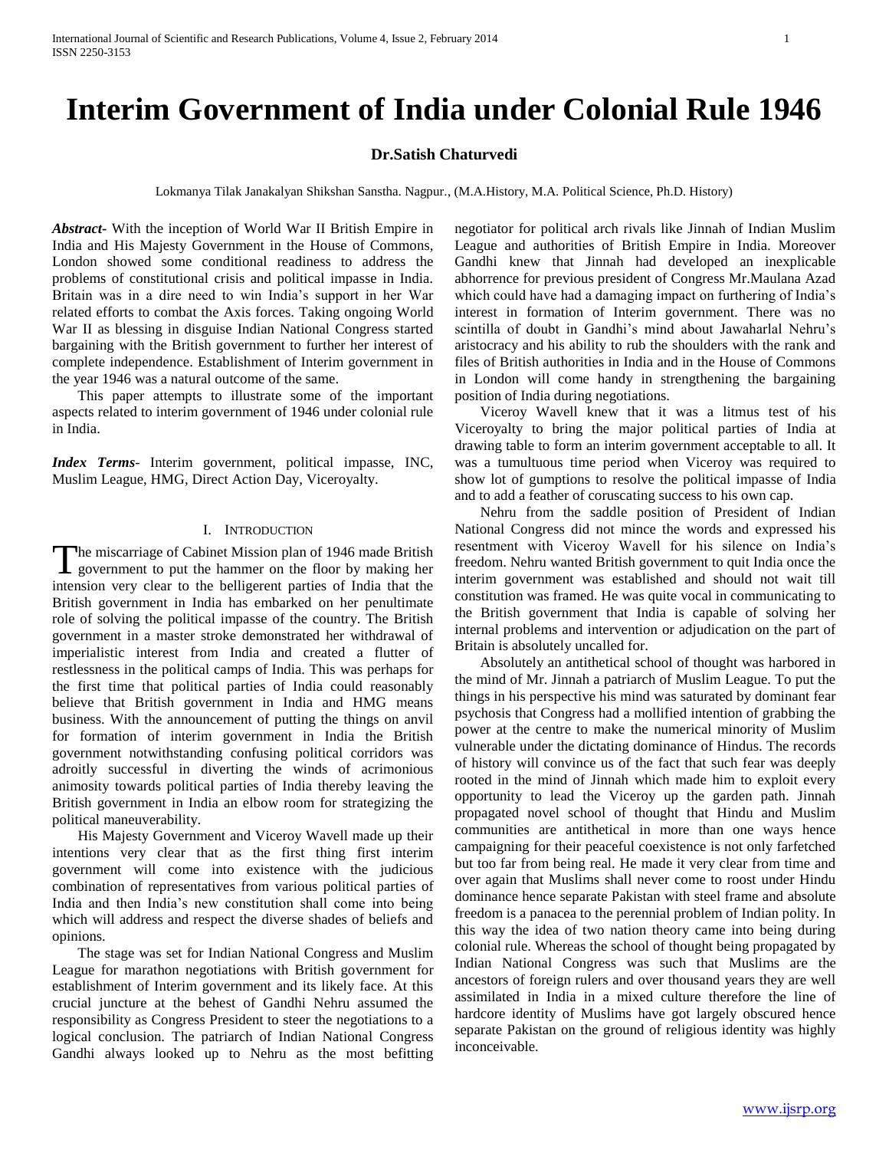# **Interim Government of India under Colonial Rule 1946**

# **Dr.Satish Chaturvedi**

Lokmanya Tilak Janakalyan Shikshan Sanstha. Nagpur., (M.A.History, M.A. Political Science, Ph.D. History)

*Abstract***-** With the inception of World War II British Empire in India and His Majesty Government in the House of Commons, London showed some conditional readiness to address the problems of constitutional crisis and political impasse in India. Britain was in a dire need to win India's support in her War related efforts to combat the Axis forces. Taking ongoing World War II as blessing in disguise Indian National Congress started bargaining with the British government to further her interest of complete independence. Establishment of Interim government in the year 1946 was a natural outcome of the same.

 This paper attempts to illustrate some of the important aspects related to interim government of 1946 under colonial rule in India.

*Index Terms*- Interim government, political impasse, INC, Muslim League, HMG, Direct Action Day, Viceroyalty.

## I. INTRODUCTION

The miscarriage of Cabinet Mission plan of 1946 made British The miscarriage of Cabinet Mission plan of 1946 made British<br>government to put the hammer on the floor by making her intension very clear to the belligerent parties of India that the British government in India has embarked on her penultimate role of solving the political impasse of the country. The British government in a master stroke demonstrated her withdrawal of imperialistic interest from India and created a flutter of restlessness in the political camps of India. This was perhaps for the first time that political parties of India could reasonably believe that British government in India and HMG means business. With the announcement of putting the things on anvil for formation of interim government in India the British government notwithstanding confusing political corridors was adroitly successful in diverting the winds of acrimonious animosity towards political parties of India thereby leaving the British government in India an elbow room for strategizing the political maneuverability.

 His Majesty Government and Viceroy Wavell made up their intentions very clear that as the first thing first interim government will come into existence with the judicious combination of representatives from various political parties of India and then India's new constitution shall come into being which will address and respect the diverse shades of beliefs and opinions.

 The stage was set for Indian National Congress and Muslim League for marathon negotiations with British government for establishment of Interim government and its likely face. At this crucial juncture at the behest of Gandhi Nehru assumed the responsibility as Congress President to steer the negotiations to a logical conclusion. The patriarch of Indian National Congress Gandhi always looked up to Nehru as the most befitting negotiator for political arch rivals like Jinnah of Indian Muslim League and authorities of British Empire in India. Moreover Gandhi knew that Jinnah had developed an inexplicable abhorrence for previous president of Congress Mr.Maulana Azad which could have had a damaging impact on furthering of India's interest in formation of Interim government. There was no scintilla of doubt in Gandhi's mind about Jawaharlal Nehru's aristocracy and his ability to rub the shoulders with the rank and files of British authorities in India and in the House of Commons in London will come handy in strengthening the bargaining position of India during negotiations.

 Viceroy Wavell knew that it was a litmus test of his Viceroyalty to bring the major political parties of India at drawing table to form an interim government acceptable to all. It was a tumultuous time period when Viceroy was required to show lot of gumptions to resolve the political impasse of India and to add a feather of coruscating success to his own cap.

 Nehru from the saddle position of President of Indian National Congress did not mince the words and expressed his resentment with Viceroy Wavell for his silence on India's freedom. Nehru wanted British government to quit India once the interim government was established and should not wait till constitution was framed. He was quite vocal in communicating to the British government that India is capable of solving her internal problems and intervention or adjudication on the part of Britain is absolutely uncalled for.

 Absolutely an antithetical school of thought was harbored in the mind of Mr. Jinnah a patriarch of Muslim League. To put the things in his perspective his mind was saturated by dominant fear psychosis that Congress had a mollified intention of grabbing the power at the centre to make the numerical minority of Muslim vulnerable under the dictating dominance of Hindus. The records of history will convince us of the fact that such fear was deeply rooted in the mind of Jinnah which made him to exploit every opportunity to lead the Viceroy up the garden path. Jinnah propagated novel school of thought that Hindu and Muslim communities are antithetical in more than one ways hence campaigning for their peaceful coexistence is not only farfetched but too far from being real. He made it very clear from time and over again that Muslims shall never come to roost under Hindu dominance hence separate Pakistan with steel frame and absolute freedom is a panacea to the perennial problem of Indian polity. In this way the idea of two nation theory came into being during colonial rule. Whereas the school of thought being propagated by Indian National Congress was such that Muslims are the ancestors of foreign rulers and over thousand years they are well assimilated in India in a mixed culture therefore the line of hardcore identity of Muslims have got largely obscured hence separate Pakistan on the ground of religious identity was highly inconceivable.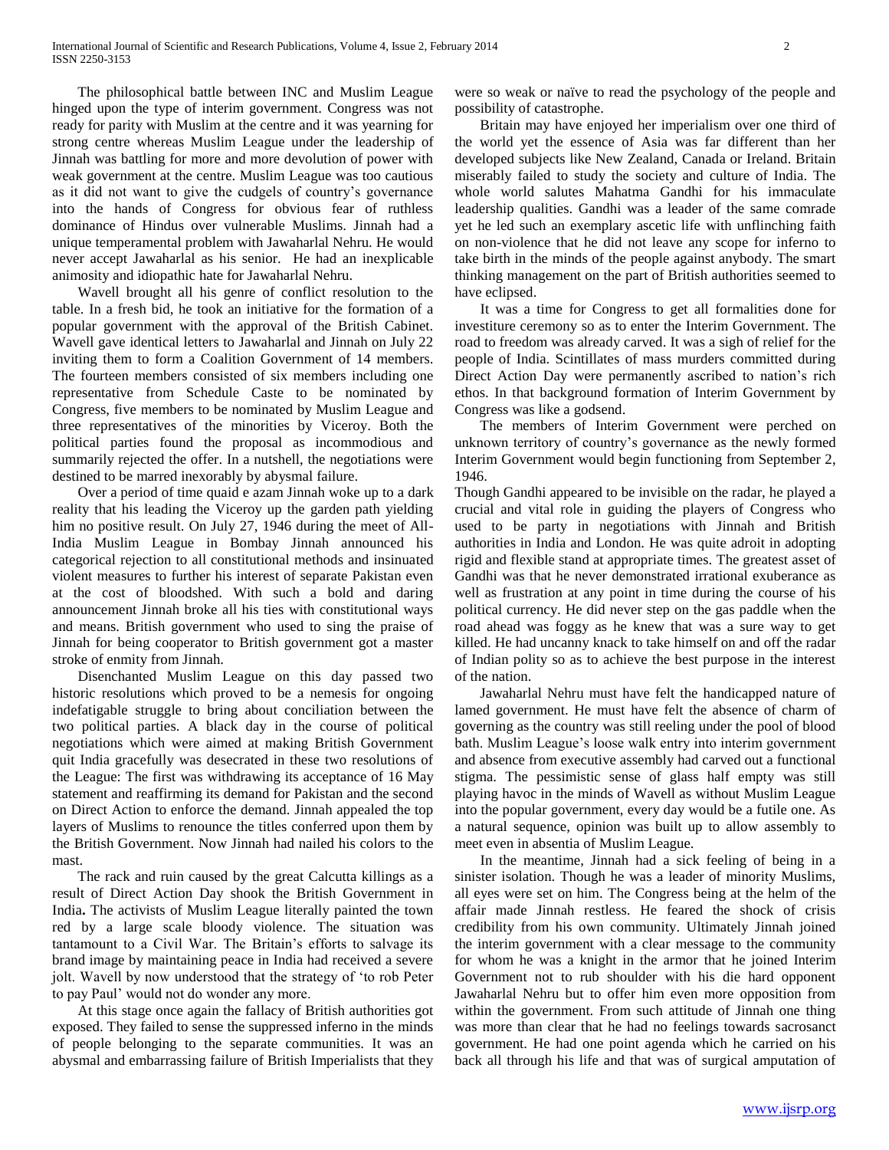The philosophical battle between INC and Muslim League hinged upon the type of interim government. Congress was not ready for parity with Muslim at the centre and it was yearning for strong centre whereas Muslim League under the leadership of Jinnah was battling for more and more devolution of power with weak government at the centre. Muslim League was too cautious as it did not want to give the cudgels of country's governance into the hands of Congress for obvious fear of ruthless dominance of Hindus over vulnerable Muslims. Jinnah had a unique temperamental problem with Jawaharlal Nehru. He would never accept Jawaharlal as his senior. He had an inexplicable animosity and idiopathic hate for Jawaharlal Nehru.

 Wavell brought all his genre of conflict resolution to the table. In a fresh bid, he took an initiative for the formation of a popular government with the approval of the British Cabinet. Wavell gave identical letters to Jawaharlal and Jinnah on July 22 inviting them to form a Coalition Government of 14 members. The fourteen members consisted of six members including one representative from Schedule Caste to be nominated by Congress, five members to be nominated by Muslim League and three representatives of the minorities by Viceroy. Both the political parties found the proposal as incommodious and summarily rejected the offer. In a nutshell, the negotiations were destined to be marred inexorably by abysmal failure.

 Over a period of time quaid e azam Jinnah woke up to a dark reality that his leading the Viceroy up the garden path yielding him no positive result. On July 27, 1946 during the meet of All-India Muslim League in Bombay Jinnah announced his categorical rejection to all constitutional methods and insinuated violent measures to further his interest of separate Pakistan even at the cost of bloodshed. With such a bold and daring announcement Jinnah broke all his ties with constitutional ways and means. British government who used to sing the praise of Jinnah for being cooperator to British government got a master stroke of enmity from Jinnah.

 Disenchanted Muslim League on this day passed two historic resolutions which proved to be a nemesis for ongoing indefatigable struggle to bring about conciliation between the two political parties. A black day in the course of political negotiations which were aimed at making British Government quit India gracefully was desecrated in these two resolutions of the League: The first was withdrawing its acceptance of 16 May statement and reaffirming its demand for Pakistan and the second on Direct Action to enforce the demand. Jinnah appealed the top layers of Muslims to renounce the titles conferred upon them by the British Government. Now Jinnah had nailed his colors to the mast.

 The rack and ruin caused by the great Calcutta killings as a result of Direct Action Day shook the British Government in India**.** The activists of Muslim League literally painted the town red by a large scale bloody violence. The situation was tantamount to a Civil War. The Britain's efforts to salvage its brand image by maintaining peace in India had received a severe jolt. Wavell by now understood that the strategy of 'to rob Peter to pay Paul' would not do wonder any more.

 At this stage once again the fallacy of British authorities got exposed. They failed to sense the suppressed inferno in the minds of people belonging to the separate communities. It was an abysmal and embarrassing failure of British Imperialists that they were so weak or naïve to read the psychology of the people and possibility of catastrophe.

 Britain may have enjoyed her imperialism over one third of the world yet the essence of Asia was far different than her developed subjects like New Zealand, Canada or Ireland. Britain miserably failed to study the society and culture of India. The whole world salutes Mahatma Gandhi for his immaculate leadership qualities. Gandhi was a leader of the same comrade yet he led such an exemplary ascetic life with unflinching faith on non-violence that he did not leave any scope for inferno to take birth in the minds of the people against anybody. The smart thinking management on the part of British authorities seemed to have eclipsed.

 It was a time for Congress to get all formalities done for investiture ceremony so as to enter the Interim Government. The road to freedom was already carved. It was a sigh of relief for the people of India. Scintillates of mass murders committed during Direct Action Day were permanently ascribed to nation's rich ethos. In that background formation of Interim Government by Congress was like a godsend.

 The members of Interim Government were perched on unknown territory of country's governance as the newly formed Interim Government would begin functioning from September 2, 1946.

Though Gandhi appeared to be invisible on the radar, he played a crucial and vital role in guiding the players of Congress who used to be party in negotiations with Jinnah and British authorities in India and London. He was quite adroit in adopting rigid and flexible stand at appropriate times. The greatest asset of Gandhi was that he never demonstrated irrational exuberance as well as frustration at any point in time during the course of his political currency. He did never step on the gas paddle when the road ahead was foggy as he knew that was a sure way to get killed. He had uncanny knack to take himself on and off the radar of Indian polity so as to achieve the best purpose in the interest of the nation.

 Jawaharlal Nehru must have felt the handicapped nature of lamed government. He must have felt the absence of charm of governing as the country was still reeling under the pool of blood bath. Muslim League's loose walk entry into interim government and absence from executive assembly had carved out a functional stigma. The pessimistic sense of glass half empty was still playing havoc in the minds of Wavell as without Muslim League into the popular government, every day would be a futile one. As a natural sequence, opinion was built up to allow assembly to meet even in absentia of Muslim League.

 In the meantime, Jinnah had a sick feeling of being in a sinister isolation. Though he was a leader of minority Muslims, all eyes were set on him. The Congress being at the helm of the affair made Jinnah restless. He feared the shock of crisis credibility from his own community. Ultimately Jinnah joined the interim government with a clear message to the community for whom he was a knight in the armor that he joined Interim Government not to rub shoulder with his die hard opponent Jawaharlal Nehru but to offer him even more opposition from within the government. From such attitude of Jinnah one thing was more than clear that he had no feelings towards sacrosanct government. He had one point agenda which he carried on his back all through his life and that was of surgical amputation of